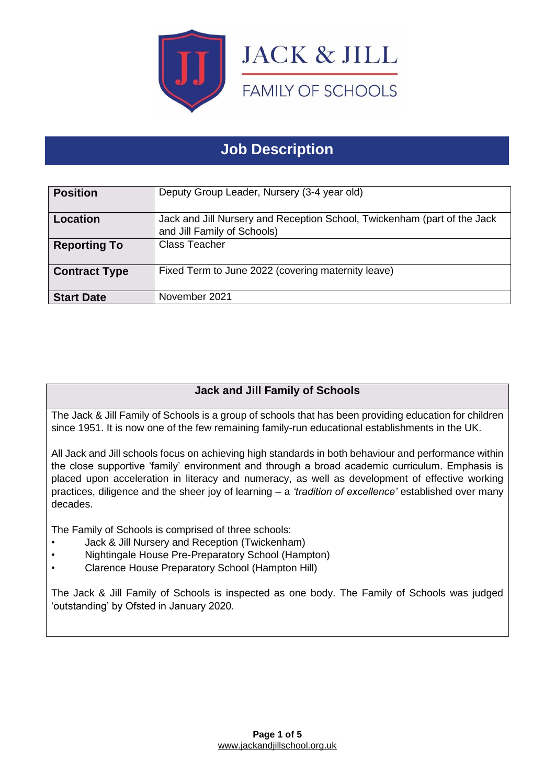

# **Job Description**

| <b>Position</b>      | Deputy Group Leader, Nursery (3-4 year old)                                                             |
|----------------------|---------------------------------------------------------------------------------------------------------|
| <b>Location</b>      | Jack and Jill Nursery and Reception School, Twickenham (part of the Jack<br>and Jill Family of Schools) |
| <b>Reporting To</b>  | <b>Class Teacher</b>                                                                                    |
| <b>Contract Type</b> | Fixed Term to June 2022 (covering maternity leave)                                                      |
| <b>Start Date</b>    | November 2021                                                                                           |

# **Jack and Jill Family of Schools**

The Jack & Jill Family of Schools is a group of schools that has been providing education for children since 1951. It is now one of the few remaining family-run educational establishments in the UK.

All Jack and Jill schools focus on achieving high standards in both behaviour and performance within the close supportive 'family' environment and through a broad academic curriculum. Emphasis is placed upon acceleration in literacy and numeracy, as well as development of effective working practices, diligence and the sheer joy of learning – a *'tradition of excellence'* established over many decades.

The Family of Schools is comprised of three schools:

- Jack & Jill Nursery and Reception (Twickenham)
- Nightingale House Pre-Preparatory School (Hampton)
- Clarence House Preparatory School (Hampton Hill)

The Jack & Jill Family of Schools is inspected as one body. The Family of Schools was judged 'outstanding' by Ofsted in January 2020.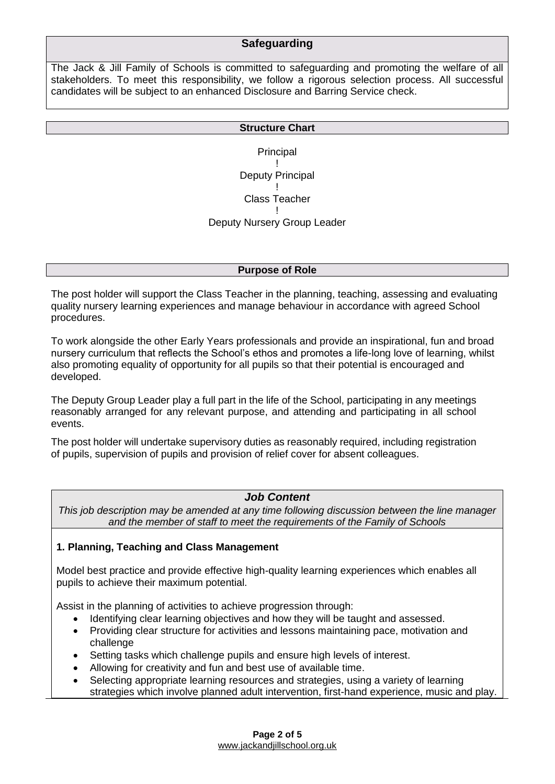## **Safeguarding**

The Jack & Jill Family of Schools is committed to safeguarding and promoting the welfare of all stakeholders. To meet this responsibility, we follow a rigorous selection process. All successful candidates will be subject to an enhanced Disclosure and Barring Service check.

#### **Structure Chart**

Principal ! Deputy Principal ! Class Teacher ! Deputy Nursery Group Leader

#### **Purpose of Role**

The post holder will support the Class Teacher in the planning, teaching, assessing and evaluating quality nursery learning experiences and manage behaviour in accordance with agreed School procedures.

To work alongside the other Early Years professionals and provide an inspirational, fun and broad nursery curriculum that reflects the School's ethos and promotes a life-long love of learning, whilst also promoting equality of opportunity for all pupils so that their potential is encouraged and developed.

The Deputy Group Leader play a full part in the life of the School, participating in any meetings reasonably arranged for any relevant purpose, and attending and participating in all school events.

The post holder will undertake supervisory duties as reasonably required, including registration of pupils, supervision of pupils and provision of relief cover for absent colleagues.

### *Job Content*

*This job description may be amended at any time following discussion between the line manager and the member of staff to meet the requirements of the Family of Schools*

#### **1. Planning, Teaching and Class Management**

Model best practice and provide effective high-quality learning experiences which enables all pupils to achieve their maximum potential.

Assist in the planning of activities to achieve progression through:

- Identifying clear learning objectives and how they will be taught and assessed.
- Providing clear structure for activities and lessons maintaining pace, motivation and challenge
- Setting tasks which challenge pupils and ensure high levels of interest.
- Allowing for creativity and fun and best use of available time.
- Selecting appropriate learning resources and strategies, using a variety of learning strategies which involve planned adult intervention, first-hand experience, music and play.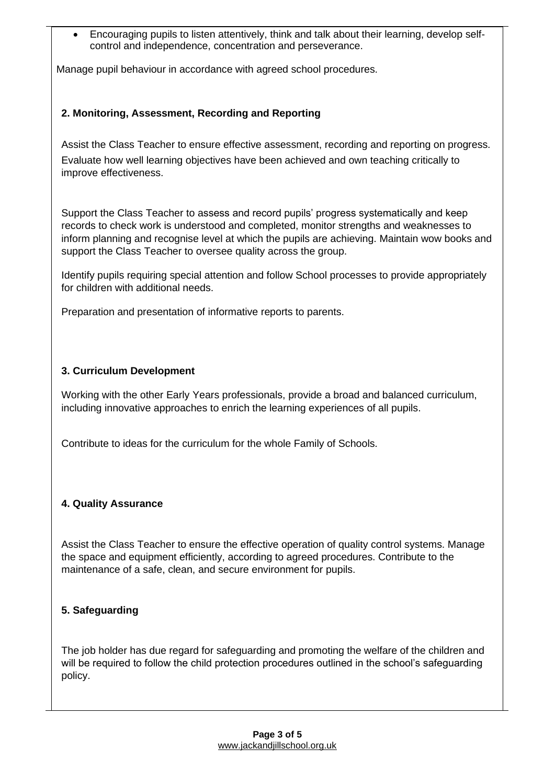• Encouraging pupils to listen attentively, think and talk about their learning, develop selfcontrol and independence, concentration and perseverance.

Manage pupil behaviour in accordance with agreed school procedures.

## **2. Monitoring, Assessment, Recording and Reporting**

Assist the Class Teacher to ensure effective assessment, recording and reporting on progress. Evaluate how well learning objectives have been achieved and own teaching critically to improve effectiveness.

Support the Class Teacher to assess and record pupils' progress systematically and keep records to check work is understood and completed, monitor strengths and weaknesses to inform planning and recognise level at which the pupils are achieving. Maintain wow books and support the Class Teacher to oversee quality across the group.

Identify pupils requiring special attention and follow School processes to provide appropriately for children with additional needs.

Preparation and presentation of informative reports to parents.

## **3. Curriculum Development**

Working with the other Early Years professionals, provide a broad and balanced curriculum, including innovative approaches to enrich the learning experiences of all pupils.

Contribute to ideas for the curriculum for the whole Family of Schools.

## **4. Quality Assurance**

Assist the Class Teacher to ensure the effective operation of quality control systems. Manage the space and equipment efficiently, according to agreed procedures. Contribute to the maintenance of a safe, clean, and secure environment for pupils.

## **5. Safeguarding**

The job holder has due regard for safeguarding and promoting the welfare of the children and will be required to follow the child protection procedures outlined in the school's safeguarding policy.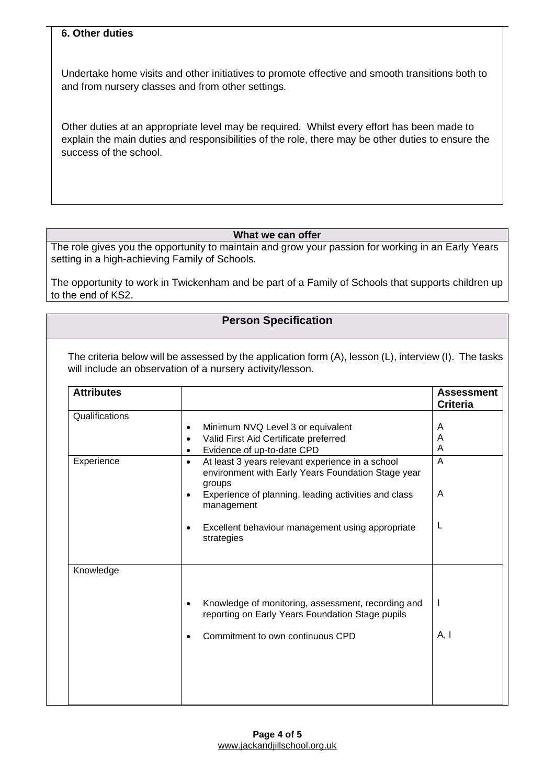#### **6. Other duties**

Undertake home visits and other initiatives to promote effective and smooth transitions both to and from nursery classes and from other settings.

Other duties at an appropriate level may be required. Whilst every effort has been made to explain the main duties and responsibilities of the role, there may be other duties to ensure the success of the school.

#### **What we can offer**

The role gives you the opportunity to maintain and grow your passion for working in an Early Years setting in a high-achieving Family of Schools.

The opportunity to work in Twickenham and be part of a Family of Schools that supports children up to the end of KS2.

#### **Person Specification**

The criteria below will be assessed by the application form (A), lesson (L), interview (I). The tasks will include an observation of a nursery activity/lesson.

| <b>Attributes</b> |                                                                                                                                                                                                                                                                                 | <b>Assessment</b><br><b>Criteria</b> |
|-------------------|---------------------------------------------------------------------------------------------------------------------------------------------------------------------------------------------------------------------------------------------------------------------------------|--------------------------------------|
| Qualifications    | Minimum NVQ Level 3 or equivalent<br>٠<br>Valid First Aid Certificate preferred<br>٠<br>Evidence of up-to-date CPD<br>$\bullet$                                                                                                                                                 | A<br>Α<br>A                          |
| Experience        | At least 3 years relevant experience in a school<br>$\bullet$<br>environment with Early Years Foundation Stage year<br>groups<br>Experience of planning, leading activities and class<br>٠<br>management<br>Excellent behaviour management using appropriate<br>٠<br>strategies | $\overline{A}$<br>A<br>L             |
| Knowledge         | Knowledge of monitoring, assessment, recording and<br>٠<br>reporting on Early Years Foundation Stage pupils<br>Commitment to own continuous CPD                                                                                                                                 | $\mathbf{I}$<br>A, I                 |